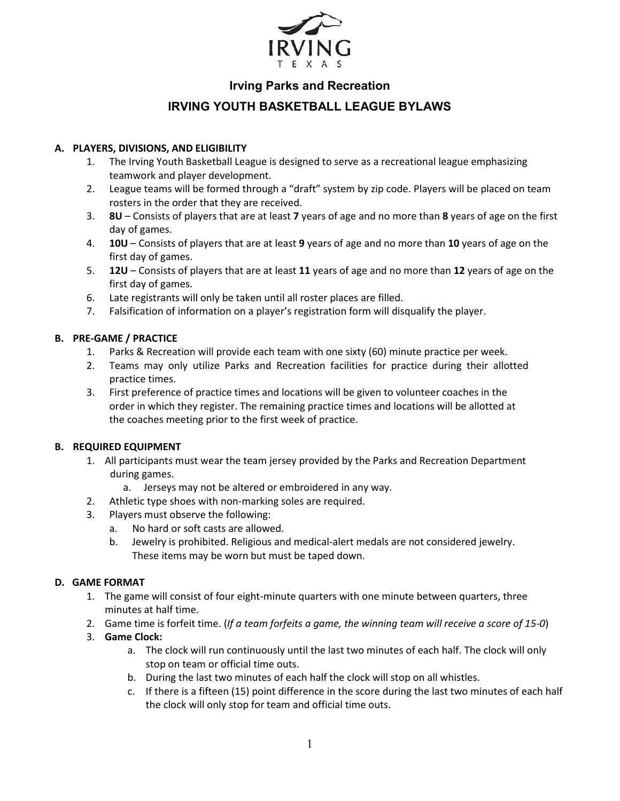

# **Irving Parks and Recreation**

# **IRVING YOUTH BASKETBALL LEAGUE BYLAWS**

### **A. PLAYERS, DIVISIONS, AND ELIGIBILITY**

- 1. The Irving Youth Basketball League is designed to serve as a recreational league emphasizing teamwork and player development.
- 2. League teams will be formed through a "draft" system by zip code. Players will be placed on team rosters in the order that they are received.
- 3. **8U** Consists of players that are at least **7** years of age and no more than **8** years of age on the first day of games.
- 4. **10U** Consists of players that are at least **9** years of age and no more than **10** years of age on the first day of games.
- 5. **12U** Consists of players that are at least **11** years of age and no more than **12** years of age on the first day of games.
- 6. Late registrants will only be taken until all roster places are filled.
- 7. Falsification of information on a player's registration form will disqualify the player.

#### **B. PRE-GAME / PRACTICE**

- 1. Parks & Recreation will provide each team with one sixty (60) minute practice per week.
- 2. Teams may only utilize Parks and Recreation facilities for practice during their allotted practice times.
- 3. First preference of practice times and locations will be given to volunteer coaches in the order in which they register. The remaining practice times and locations will be allotted at the coaches meeting prior to the first week of practice.

### **B. REQUIRED EQUIPMENT**

- 1. All participants must wear the team jersey provided by the Parks and Recreation Department during games.
	- a. Jerseys may not be altered or embroidered in any way.
- 2. Athletic type shoes with non-marking soles are required.
- 3. Players must observe the following:
	- a. No hard or soft casts are allowed.
	- b. Jewelry is prohibited. Religious and medical-alert medals are not considered jewelry. These items may be worn but must be taped down.

#### **D. GAME FORMAT**

- 1. The game will consist of four eight-minute quarters with one minute between quarters, three minutes at half time.
- 2. Game time is forfeit time. (*If a team forfeits a game, the winning team will receive a score of 15-0*)
- 3. **Game Clock:**
	- a. The clock will run continuously until the last two minutes of each half. The clock will only stop on team or official time outs.
	- b. During the last two minutes of each half the clock will stop on all whistles.
	- c. If there is a fifteen (15) point difference in the score during the last two minutes of each half the clock will only stop for team and official time outs.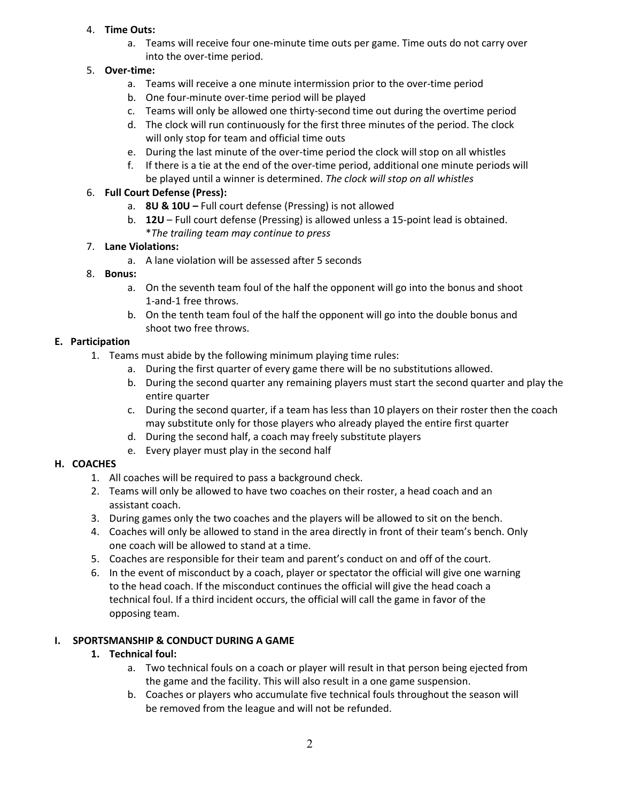### 4. **Time Outs:**

a. Teams will receive four one-minute time outs per game. Time outs do not carry over into the over-time period.

# 5. **Over-time:**

- a. Teams will receive a one minute intermission prior to the over-time period
- b. One four-minute over-time period will be played
- c. Teams will only be allowed one thirty-second time out during the overtime period
- d. The clock will run continuously for the first three minutes of the period. The clock will only stop for team and official time outs
- e. During the last minute of the over-time period the clock will stop on all whistles
- f. If there is a tie at the end of the over-time period, additional one minute periods will be played until a winner is determined. *The clock will stop on all whistles*

## 6. **Full Court Defense (Press):**

- a. **8U & 10U –** Full court defense (Pressing) is not allowed
- b. **12U**  Full court defense (Pressing) is allowed unless a 15-point lead is obtained. \**The trailing team may continue to press*

### 7. **Lane Violations:**

a. A lane violation will be assessed after 5 seconds

## 8. **Bonus:**

- a. On the seventh team foul of the half the opponent will go into the bonus and shoot 1-and-1 free throws.
- b. On the tenth team foul of the half the opponent will go into the double bonus and shoot two free throws.

## **E. Participation**

- 1. Teams must abide by the following minimum playing time rules:
	- a. During the first quarter of every game there will be no substitutions allowed.
	- b. During the second quarter any remaining players must start the second quarter and play the entire quarter
	- c. During the second quarter, if a team has less than 10 players on their roster then the coach may substitute only for those players who already played the entire first quarter
	- d. During the second half, a coach may freely substitute players
	- e. Every player must play in the second half

# **H. COACHES**

- 1. All coaches will be required to pass a background check.
- 2. Teams will only be allowed to have two coaches on their roster, a head coach and an assistant coach.
- 3. During games only the two coaches and the players will be allowed to sit on the bench.
- 4. Coaches will only be allowed to stand in the area directly in front of their team's bench. Only one coach will be allowed to stand at a time.
- 5. Coaches are responsible for their team and parent's conduct on and off of the court.
- 6. In the event of misconduct by a coach, player or spectator the official will give one warning to the head coach. If the misconduct continues the official will give the head coach a technical foul. If a third incident occurs, the official will call the game in favor of the opposing team.

# **I. SPORTSMANSHIP & CONDUCT DURING A GAME**

# **1. Technical foul:**

- a. Two technical fouls on a coach or player will result in that person being ejected from the game and the facility. This will also result in a one game suspension.
- b. Coaches or players who accumulate five technical fouls throughout the season will be removed from the league and will not be refunded.